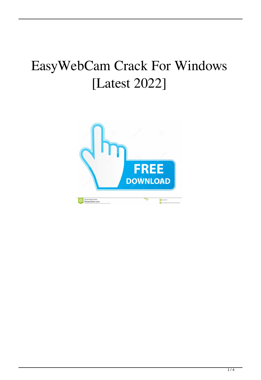# EasyWebCam Crack For Windows [Latest 2022]

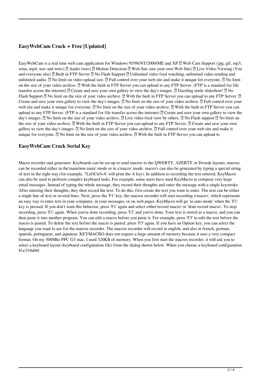## **EasyWebCam Crack + Free [Updated]**

EasyWebCam is a real time web cam application for Windows 95/98/NT/2000/ME and XP  $\mathbb{Z}$  Web Cam Support (jpg, gif, mp3, wma, mp4, wav and wmv)  $[2]$  Audio (wav)  $[2]$  Motion Detection  $[2]$  Web Site (use your own Web Site)  $[2]$  Live Video Viewing (You and everyone else) **A** Built in FTP Server **A** No Flash Support **A** Unlimited video feed watching, unlimited video sending and unlimited audio.  $\mathbb{Z}$  No limit on video upload size.  $\mathbb{Z}$  Full control over your web site and make it unique for everyone.  $\mathbb{Z}$  No limit on the size of your video archive.  $\mathbb{Z}$  With the built in FTP Server you can upload to any FTP Server. (FTP is a standard for file transfer across the internet)  $\mathbb{Z}$  Create and save your own gallery to view the day's images.  $\mathbb{Z}$  Dazzling smile slideshow!  $\mathbb{Z}$  No Flash Support  $\mathbb{Z}$  No limit on the size of your video archive.  $\mathbb{Z}$  With the built in FTP Server you can upload to any FTP Server.  $\mathbb{Z}$ Create and save your own gallery to view the day's images. **a** No limit on the size of your video archive. **a** Full control over your web site and make it unique for everyone.  $\mathbb{Z}$  No limit on the size of your video archive.  $\mathbb{Z}$  With the built in FTP Server you can upload to any FTP Server. (FTP is a standard for file transfer across the internet) *n* Create and save your own gallery to view the day's images. **a** No limit on the size of your video archive. **a** Live video feed view by others. **a** No Flash support **a** No limit on the size of your video archive.  $\mathbb{Z}$  With the built in FTP Server you can upload to any FTP Server.  $\mathbb{Z}$  Create and save your own gallery to view the day's images.  $\mathbb{Z}$  No limit on the size of your video archive.  $\mathbb{Z}$  Full control over your web site and make it unique for everyone. <sup>2</sup> No limit on the size of your video archive. <sup>2</sup> With the built in FTP Server you can upload to

## **EasyWebCam Crack Serial Key**

Macro recorder and generator. Keyboards can be set-up to send macros to the QWERTY, AZERTY or Dvorak layouts. macros can be recorded either in the'main/non main' mode or in a'macro' mode. macro's can also be generated by typing a special string of text in the right way (for example, '!LeftCtrl+A' will print the A key). In addition to recording the text entered, KeyMacro can also be used to perform complex keyboard tasks. For example, some users have used KeyMacro to compose very large email messages. Instead of typing the whole message, they record their thoughts and enter the message with a single keystroke. After entering their thoughts, they then record the text. To do this, first create the text you want to enter. The text can be either a single line of text or several lines. Next, press the 'F1' key, the macros recorder will start recording a'macro', which represents an easy way to enter text in your computer, in your messages, or on web pages. KeyMacro will go 'in auto mode' when the 'F1' key is pressed. If you don't want this behavior, press 'F1' again and select either'record macro' or 'dont record macro'. To stop recording, press 'F1' again. When you're done recording, press 'F2' and you're done. Your text is stored as a macro, and you can then paste it into another program. You can edit a macro before you paste it. For example, press 'F3' to edit the text before the macro is pasted. To delete the text before the macro is pasted, press 'F3' again. If you have an Option key, you can select the language you want to use for the macros recorder. The macros recorder will record in english, and also in french, german, spanish, portuguese, and japanese. KEYMACRO does not require a large amount of memory because it uses a very compact format. On my 500Mhz PPC G3 mac, I used 320KB of memory. When you first start the macros recorder, it will ask you to select a keyboard layout (keyboard configuration file) from the dialog shown below. When you choose a keyboard configuration 81e310abbf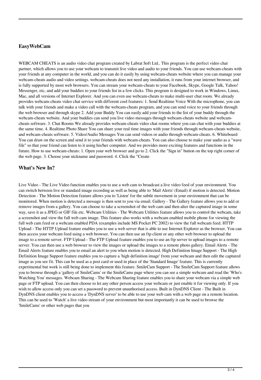### **EasyWebCam**

WEBCAM CHEATS is an audio video chat program created by Labrat Soft Ltd.. This program is the perfect video chat partner, which allows you to use your webcam to transmit live video and audio to your friends. You can use webcam-cheats with your friends at any computer in the world, and you can do it easily by using webcam-cheats website where you can manage your webcam-cheats audio and video settings. webcam-cheats does not need any installation, it runs from your internet browser, and is fully supported by most web browsers. You can stream your webcam-cheats to your Facebook, Skype, Google Talk, Yahoo! Messenger, etc, and add your buddies to your friends list in a few clicks. This program is designed to work in Windows, Linux, Mac, and all versions of Internet Explorer. And you can even use webcam-cheats to make multi-user chat room. We already provides webcam-cheats video chat service with different cool features: 1. Send Realtime Voice With the microphone, you can talk with your friends and make a video call with the webcam-cheats program, and you can send voice to your friends through the web browser and through skype 2. Add your Buddy You can easily add your friends to the list of your buddy through the webcam-cheats website. And your buddies can send you live video messages through webcam-cheats website and webcamcheats software. 3. Chat Rooms We already provides webcam-cheats video chat rooms where you can chat with your buddies at the same time. 4. Realtime Photo Share You can share your real time images with your friends through webcam-cheats website, and webcam-cheats software. 5. Video/Audio Messages You can send videos or audio through webcam-cheats. 6. Whiteboard You can draw on the screen and send it to your friends with webcam-cheats. You can also choose to make your audio as a "wave file" so that your friend can listen to it using his/her computer. And we provides more exciting features and functions in the future. How to use webcam-cheats: 1. Open your web browser and go to 2. Click the "Sign in" button on the top right corner of the web page. 3. Choose your nickname and password. 4. Click the "Create

#### **What's New In?**

Live Video - The Live Video function enables you to use a web cam to broadcast a live video feed of your environment. You can switch between live or standard image recording as well as being able to 'Mail Alerts' (Email) if motion is detected. Motion Detection - The Motion Detection feature allows you to 'Listen' for the subtle movement in your environment that can be monitored. When motion is detected a message is then sent to you via email. Gallery - The Gallery feature allows you to add or remove images from a gallery. You can choose to take a screenshot of the web cam and then alter the captured image in some way, save it as a JPEG or GIF file etc. Webcam Utilities - The Webcam Utilities feature allows you to control the webcam, take a screenshot and view the full web cam image. This feature also works with a webcam enabled mobile phone for viewing the full web cam feed or a webcam enabled PDA (examples include MS Pocket PC 2002) to view the full webcam feed. HTTP Upload - The HTTP Upload feature enables you to use a web server that is able to use Internet Explorer as the browser. You can then access your webcam feed using a web browser. You can then use an ftp client or any other web browser to upload the image to a remote server. FTP Upload - The FTP Upload feature enables you to use an ftp server to upload images to a remote server. You can then use a web browser to view the images or upload the images to a remote photo gallery. Email Alerts - The Email Alerts feature enables you to email an alert to you when motion is detected. High Definition Image Support - The High Definition Image Support feature enables you to capture a 'high definition image' from your webcam and then edit the captured image as you see fit. This can be used as a post card or used in place of the 'Standard Image' feature. This is currently experimental but work is still being done to implement this feature. SmileCam Support - The SmileCam Support feature allows you to browse through a 'gallery of SmileCams' or the SmileCams page where you can see a simple webcam and read the 'Who's Watching You' messages. Webcam Sharing - The Webcam Sharing feature enables you to share your webcam via a simple web page or FTP upload. You can then choose to let any other person access your webcam or just enable it for viewing only. If you wish to allow access only you can set a password to prevent unauthorised access. Built in DynDNS Client - The Built in DynDNS client enables you to access a 'DynDNS server' to be able to use your web cam with a web page on a remote location. This can be used to 'Watch' a live video stream of your environment but most importantly it can be used to browse the 'SmileCams' or other web pages that you